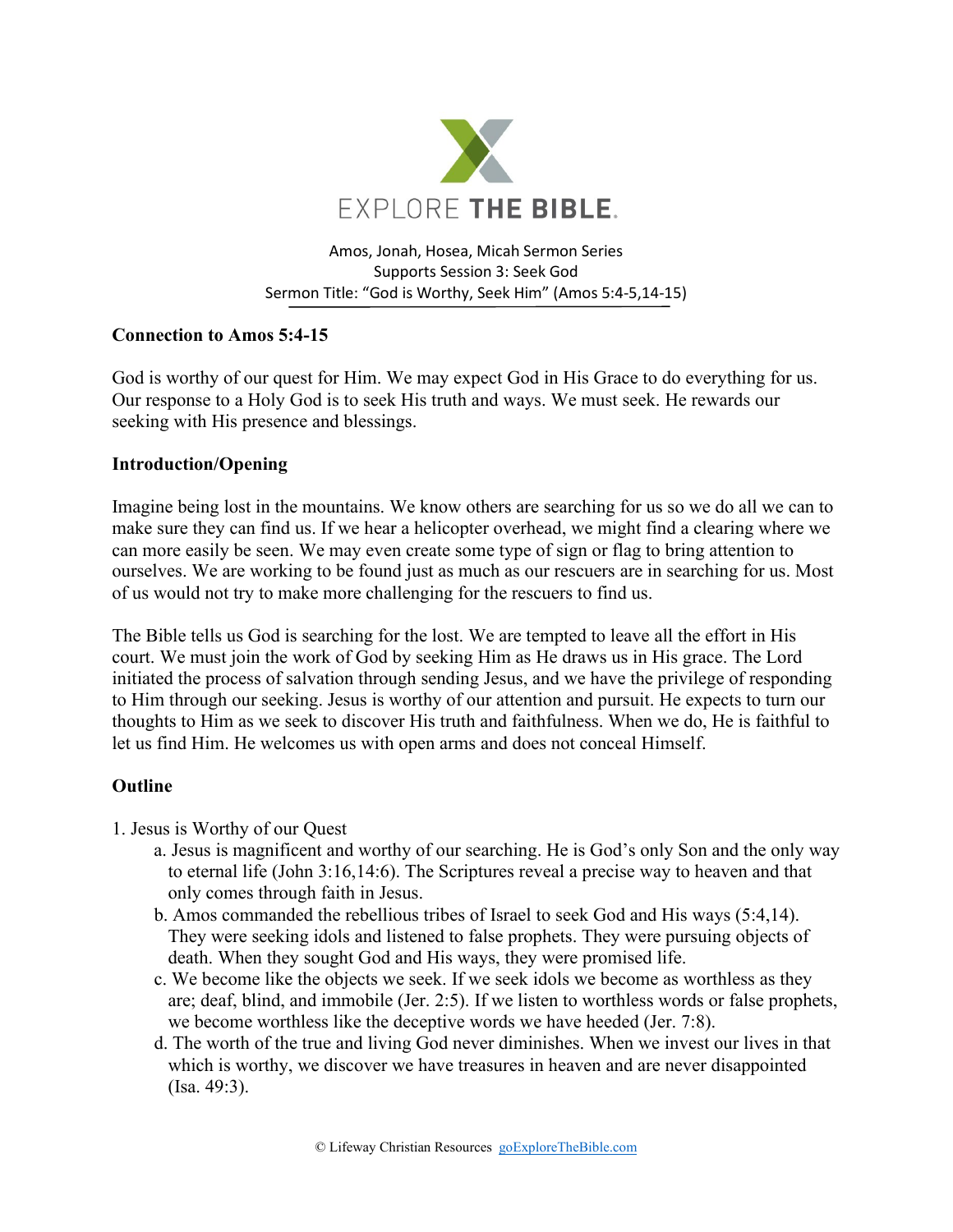

Amos, Jonah, Hosea, Micah Sermon Series Supports Session 3: Seek God Sermon Title: "God is Worthy, Seek Him" (Amos 5:4-5,14-15)

# **Connection to Amos 5:4-15**

God is worthy of our quest for Him. We may expect God in His Grace to do everything for us. Our response to a Holy God is to seek His truth and ways. We must seek. He rewards our seeking with His presence and blessings.

## **Introduction/Opening**

Imagine being lost in the mountains. We know others are searching for us so we do all we can to make sure they can find us. If we hear a helicopter overhead, we might find a clearing where we can more easily be seen. We may even create some type of sign or flag to bring attention to ourselves. We are working to be found just as much as our rescuers are in searching for us. Most of us would not try to make more challenging for the rescuers to find us.

The Bible tells us God is searching for the lost. We are tempted to leave all the effort in His court. We must join the work of God by seeking Him as He draws us in His grace. The Lord initiated the process of salvation through sending Jesus, and we have the privilege of responding to Him through our seeking. Jesus is worthy of our attention and pursuit. He expects to turn our thoughts to Him as we seek to discover His truth and faithfulness. When we do, He is faithful to let us find Him. He welcomes us with open arms and does not conceal Himself.

## **Outline**

- 1. Jesus is Worthy of our Quest
	- a. Jesus is magnificent and worthy of our searching. He is God's only Son and the only way to eternal life (John 3:16,14:6). The Scriptures reveal a precise way to heaven and that only comes through faith in Jesus.
	- b. Amos commanded the rebellious tribes of Israel to seek God and His ways (5:4,14). They were seeking idols and listened to false prophets. They were pursuing objects of death. When they sought God and His ways, they were promised life.
	- c. We become like the objects we seek. If we seek idols we become as worthless as they are; deaf, blind, and immobile (Jer. 2:5). If we listen to worthless words or false prophets, we become worthless like the deceptive words we have heeded (Jer. 7:8).
	- d. The worth of the true and living God never diminishes. When we invest our lives in that which is worthy, we discover we have treasures in heaven and are never disappointed (Isa. 49:3).